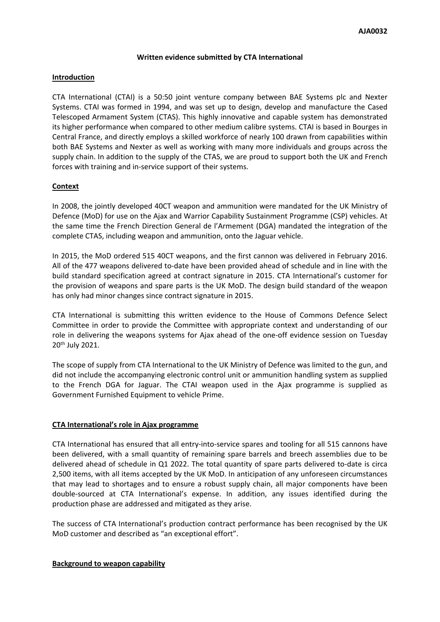### **Written evidence submitted by CTA International**

## **Introduction**

CTA International (CTAI) is a 50:50 joint venture company between BAE Systems plc and Nexter Systems. CTAI was formed in 1994, and was set up to design, develop and manufacture the Cased Telescoped Armament System (CTAS). This highly innovative and capable system has demonstrated its higher performance when compared to other medium calibre systems. CTAI is based in Bourges in Central France, and directly employs a skilled workforce of nearly 100 drawn from capabilities within both BAE Systems and Nexter as well as working with many more individuals and groups across the supply chain. In addition to the supply of the CTAS, we are proud to support both the UK and French forces with training and in-service support of their systems.

# **Context**

In 2008, the jointly developed 40CT weapon and ammunition were mandated for the UK Ministry of Defence (MoD) for use on the Ajax and Warrior Capability Sustainment Programme (CSP) vehicles. At the same time the French Direction General de l'Armement (DGA) mandated the integration of the complete CTAS, including weapon and ammunition, onto the Jaguar vehicle.

In 2015, the MoD ordered 515 40CT weapons, and the first cannon was delivered in February 2016. All of the 477 weapons delivered to-date have been provided ahead of schedule and in line with the build standard specification agreed at contract signature in 2015. CTA International's customer for the provision of weapons and spare parts is the UK MoD. The design build standard of the weapon has only had minor changes since contract signature in 2015.

CTA International is submitting this written evidence to the House of Commons Defence Select Committee in order to provide the Committee with appropriate context and understanding of our role in delivering the weapons systems for Ajax ahead of the one-off evidence session on Tuesday 20th July 2021.

The scope of supply from CTA International to the UK Ministry of Defence was limited to the gun, and did not include the accompanying electronic control unit or ammunition handling system as supplied to the French DGA for Jaguar. The CTAI weapon used in the Ajax programme is supplied as Government Furnished Equipment to vehicle Prime.

## **CTA International's role in Ajax programme**

CTA International has ensured that all entry-into-service spares and tooling for all 515 cannons have been delivered, with a small quantity of remaining spare barrels and breech assemblies due to be delivered ahead of schedule in Q1 2022. The total quantity of spare parts delivered to-date is circa 2,500 items, with all items accepted by the UK MoD. In anticipation of any unforeseen circumstances that may lead to shortages and to ensure a robust supply chain, all major components have been double-sourced at CTA International's expense. In addition, any issues identified during the production phase are addressed and mitigated as they arise.

The success of CTA International's production contract performance has been recognised by the UK MoD customer and described as "an exceptional effort".

#### **Background to weapon capability**